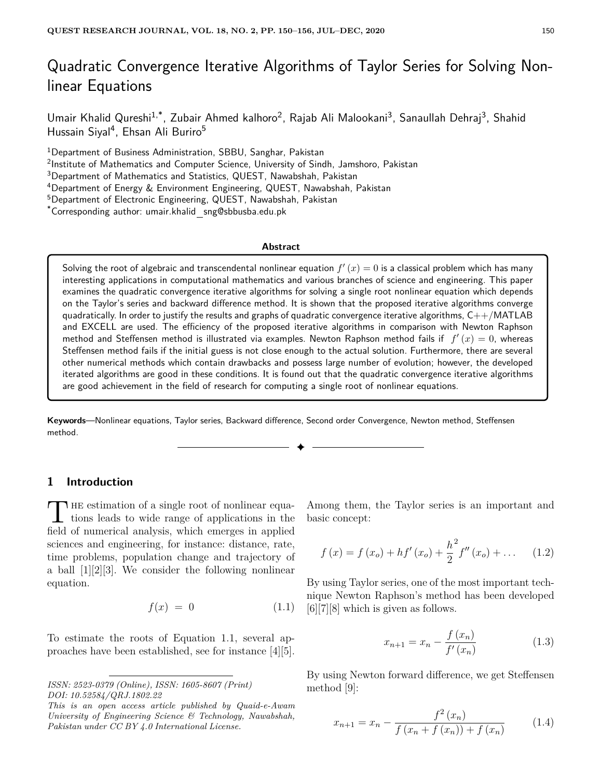# Quadratic Convergence Iterative Algorithms of Taylor Series for Solving Nonlinear Equations

Umair Khalid Qureshi<sup>1,\*</sup>, Zubair Ahmed kalhoro<sup>2</sup>, Rajab Ali Malookani<sup>3</sup>, Sanaullah Dehraj<sup>3</sup>, Shahid Hussain Siyal<sup>4</sup>, Ehsan Ali Buriro<sup>5</sup>

<sup>1</sup>Department of Business Administration, SBBU, Sanghar, Pakistan

<sup>2</sup>Institute of Mathematics and Computer Science, University of Sindh, Jamshoro, Pakistan

<sup>3</sup>Department of Mathematics and Statistics, QUEST, Nawabshah, Pakistan

<sup>4</sup>Department of Energy & Environment Engineering, QUEST, Nawabshah, Pakistan

<sup>5</sup>Department of Electronic Engineering, QUEST, Nawabshah, Pakistan

\*Corresponding author: umair.khalid sng@sbbusba.edu.pk

#### **Abstract**

Solving the root of algebraic and transcendental nonlinear equation  $f^{\prime}\left(x\right)=0$  is a classical problem which has many interesting applications in computational mathematics and various branches of science and engineering. This paper examines the quadratic convergence iterative algorithms for solving a single root nonlinear equation which depends on the Taylor's series and backward difference method. It is shown that the proposed iterative algorithms converge quadratically. In order to justify the results and graphs of quadratic convergence iterative algorithms,  $C++/MATLAB$ and EXCELL are used. The efficiency of the proposed iterative algorithms in comparison with Newton Raphson method and Steffensen method is illustrated via examples. Newton Raphson method fails if  $f'(x) = 0$ , whereas Steffensen method fails if the initial guess is not close enough to the actual solution. Furthermore, there are several other numerical methods which contain drawbacks and possess large number of evolution; however, the developed iterated algorithms are good in these conditions. It is found out that the quadratic convergence iterative algorithms are good achievement in the field of research for computing a single root of nonlinear equations.

**Keywords**—Nonlinear equations, Taylor series, Backward difference, Second order Convergence, Newton method, Steffensen method.

✦

## **1 Introduction**

The estimation of a single root of nonlinear equations leads to wide range of applications in the  $\frac{1}{2}$ tions leads to wide range of applications in the field of numerical analysis, which emerges in applied sciences and engineering, for instance: distance, rate, time problems, population change and trajectory of a ball [1][2][3]. We consider the following nonlinear equation.

$$
f(x) = 0 \tag{1.1}
$$

To estimate the roots of Equation 1.1, several approaches have been established, see for instance [4][5]. Among them, the Taylor series is an important and basic concept:

$$
f(x) = f(x_o) + h f'(x_o) + \frac{h^2}{2} f''(x_o) + \dots
$$
 (1.2)

By using Taylor series, one of the most important technique Newton Raphson's method has been developed [6][7][8] which is given as follows.

$$
x_{n+1} = x_n - \frac{f(x_n)}{f'(x_n)}
$$
 (1.3)

By using Newton forward difference, we get Steffensen method [9]:

$$
x_{n+1} = x_n - \frac{f^2(x_n)}{f(x_n + f(x_n)) + f(x_n)}
$$
(1.4)

*ISSN: 2523-0379 (Online), ISSN: 1605-8607 (Print) DOI: 10.52584/QRJ.1802.22*

*This is an open access article published by Quaid-e-Awam University of Engineering Science & Technology, Nawabshah, Pakistan under CC BY 4.0 International License.*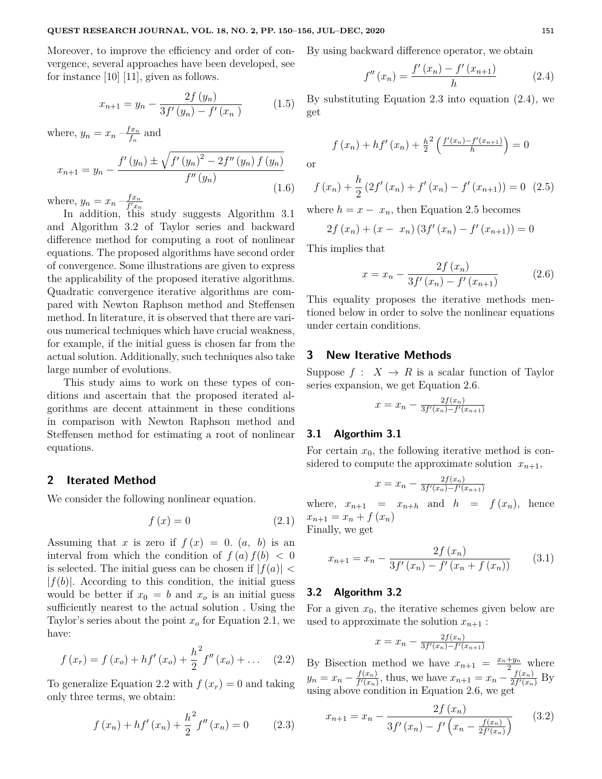Moreover, to improve the efficiency and order of convergence, several approaches have been developed, see for instance [10] [11], given as follows.

$$
x_{n+1} = y_n - \frac{2f(y_n)}{3f'(y_n) - f'(x_n)}
$$
 (1.5)

where,  $y_n = x_n - \frac{fx_n}{f_n}$  $\frac{f_{n}}{f_{n}}$  and

$$
x_{n+1} = y_n - \frac{f'(y_n) \pm \sqrt{f'(y_n)^2 - 2f''(y_n) f(y_n)}}{f''(y_n)}
$$
\n(1.6)

where,  $y_n = x_n - \frac{fx_n}{f'x_n}$  $\overline{f'x_n}$ 

In addition, this study suggests Algorithm 3.1 and Algorithm 3.2 of Taylor series and backward difference method for computing a root of nonlinear equations. The proposed algorithms have second order of convergence. Some illustrations are given to express the applicability of the proposed iterative algorithms. Quadratic convergence iterative algorithms are compared with Newton Raphson method and Steffensen method. In literature, it is observed that there are various numerical techniques which have crucial weakness, for example, if the initial guess is chosen far from the actual solution. Additionally, such techniques also take large number of evolutions.

This study aims to work on these types of conditions and ascertain that the proposed iterated algorithms are decent attainment in these conditions in comparison with Newton Raphson method and Steffensen method for estimating a root of nonlinear equations.

## **2 Iterated Method**

We consider the following nonlinear equation.

$$
f\left(x\right) = 0\tag{2.1}
$$

Assuming that *x* is zero if  $f(x) = 0$ .  $(a, b)$  is an interval from which the condition of  $f(a) f(b) < 0$ is selected. The initial guess can be chosen if  $|f(a)| <$  $|f(b)|$ . According to this condition, the initial guess would be better if  $x_0 = b$  and  $x_o$  is an initial guess sufficiently nearest to the actual solution . Using the Taylor's series about the point  $x<sub>o</sub>$  for Equation 2.1, we have:

$$
f(x_r) = f(x_o) + h f'(x_o) + \frac{h^2}{2} f''(x_o) + \dots
$$
 (2.2)

To generalize Equation 2.2 with  $f(x_r) = 0$  and taking only three terms, we obtain:

$$
f(x_n) + h f'(x_n) + \frac{h^2}{2} f''(x_n) = 0 \qquad (2.3)
$$

By using backward difference operator, we obtain

$$
f''(x_n) = \frac{f'(x_n) - f'(x_{n+1})}{h}
$$
 (2.4)

By substituting Equation 2.3 into equation (2.4), we get

$$
f(x_n) + h f'(x_n) + \frac{h^2}{2} \left( \frac{f'(x_n) - f'(x_{n+1})}{h} \right) = 0
$$

or

$$
f(x_n) + \frac{h}{2} (2f'(x_n) + f'(x_n) - f'(x_{n+1})) = 0
$$
 (2.5)

where  $h = x - x_n$ , then Equation 2.5 becomes

$$
2f(x_n) + (x - x_n) (3f'(x_n) - f'(x_{n+1})) = 0
$$

This implies that

$$
x = x_n - \frac{2f(x_n)}{3f'(x_n) - f'(x_{n+1})}
$$
 (2.6)

This equality proposes the iterative methods mentioned below in order to solve the nonlinear equations under certain conditions.

### **3 New Iterative Methods**

Suppose  $f: X \to R$  is a scalar function of Taylor series expansion, we get Equation 2.6.

$$
x = x_n - \frac{2f(x_n)}{3f'(x_n) - f'(x_{n+1})}
$$

#### **3.1 Algorthim 3.1**

For certain  $x_0$ , the following iterative method is considered to compute the approximate solution  $x_{n+1}$ ,

$$
x = x_n - \frac{2f(x_n)}{3f'(x_n) - f'(x_{n+1})}
$$

where,  $x_{n+1} = x_{n+h}$  and  $h = f(x_n)$ , hence  $x_{n+1} = x_n + f(x_n)$ 

Finally, we get

$$
x_{n+1} = x_n - \frac{2f(x_n)}{3f'(x_n) - f'(x_n + f(x_n))}
$$
(3.1)

#### **3.2 Algorithm 3.2**

For a given  $x_0$ , the iterative schemes given below are used to approximate the solution  $x_{n+1}$ :

$$
x = x_n - \frac{2f(x_n)}{3f'(x_n) - f'(x_{n+1})}
$$

By Bisection method we have  $x_{n+1} = \frac{x_n + y_n}{2}$  where  $y_n = x_n - \frac{f(x_n)}{f'(x_n)}$  $f(x_n)$ , thus, we have  $x_{n+1} = x_n - \frac{f(x_n)}{2f'(x_n)}$  $\frac{J(x_n)}{2f'(x_n)}$  By using above condition in Equation 2.6, we get

$$
x_{n+1} = x_n - \frac{2f(x_n)}{3f'(x_n) - f'\left(x_n - \frac{f(x_n)}{2f'(x_n)}\right)} \qquad (3.2)
$$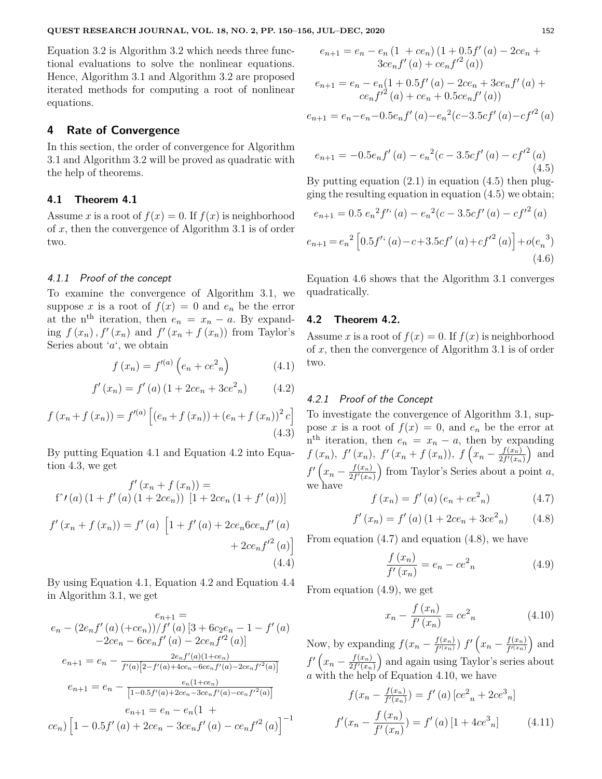Equation 3.2 is Algorithm 3.2 which needs three functional evaluations to solve the nonlinear equations. Hence, Algorithm 3.1 and Algorithm 3.2 are proposed iterated methods for computing a root of nonlinear equations.

## **4 Rate of Convergence**

In this section, the order of convergence for Algorithm 3.1 and Algorithm 3.2 will be proved as quadratic with the help of theorems.

## **4.1 Theorem 4.1**

Assume *x* is a root of  $f(x) = 0$ . If  $f(x)$  is neighborhood of *x*, then the convergence of Algorithm 3.1 is of order two.

### 4.1.1 Proof of the concept

To examine the convergence of Algorithm 3.1, we suppose *x* is a root of  $f(x) = 0$  and  $e_n$  be the error at the n<sup>th</sup> iteration, then  $e_n = x_n - a$ . By expanding  $f(x_n)$ ,  $f'(x_n)$  and  $f'(x_n + f(x_n))$  from Taylor's Series about '*a*', we obtain

$$
f(x_n) = f'^{(a)}\left(e_n + ce^2\right)
$$
 (4.1)

$$
f'(x_n) = f'(a) (1 + 2ce_n + 3ce_n^2)
$$
 (4.2)

$$
f(x_n + f(x_n)) = f'^{(a)} [(e_n + f(x_n)) + (e_n + f(x_n))^2 c]
$$
\n(4.3)

By putting Equation 4.1 and Equation 4.2 into Equation 4.3, we get

$$
f'(x_n + f(x_n)) =
$$
  
f'(a) (1 + f'(a) (1 + 2ce<sub>n</sub>)) [1 + 2ce<sub>n</sub> (1 + f'(a))]

$$
f'(x_n + f(x_n)) = f'(a) \left[ 1 + f'(a) + 2ce_n6ce_nf'(a) + 2ce_nf'^2(a) \right]
$$
  
+ 2ce\_n f'^2(a) (4.4)

By using Equation 4.1, Equation 4.2 and Equation 4.4 in Algorithm 3.1, we get

$$
e_{n+1} =
$$
  
\n
$$
e_{n} - (2e_{n}f'(a) (+ce_{n}))/f'(a) [3 + 6c_{2}e_{n} - 1 - f'(a)
$$
  
\n
$$
-2ce_{n} - 6ce_{n}f'(a) - 2ce_{n}f'^{2}(a)]
$$
  
\n
$$
e_{n+1} = e_{n} - \frac{2e_{n}f'(a)(1+ce_{n})}{f'(a)[2-f'(a)+4ce_{n}-6ce_{n}f'(a)-2ce_{n}f'^{2}(a)]}
$$
  
\n
$$
e_{n+1} = e_{n} - \frac{e_{n}(1+ce_{n})}{[1-0.5f'(a)+2ce_{n}-3ce_{n}f'(a)-ce_{n}f'^{2}(a)]}
$$
  
\n
$$
e_{n+1} = e_{n} - e_{n}(1 +
$$
  
\n
$$
ce_{n}) [1 - 0.5f'(a) + 2ce_{n} - 3ce_{n}f'(a) - ce_{n}f'^{2}(a)]^{-1}
$$

$$
e_{n+1} = e_n - e_n (1 + ce_n) (1 + 0.5f'(a) - 2ce_n + 3ce_n f'(a) + ce_n f'^2(a))
$$
  
\n
$$
e_{n+1} = e_n - e_n (1 + 0.5f'(a) - 2ce_n + 3ce_n f'(a) + ce_n f'^2(a) + ce_n + 0.5ce_n f'(a))
$$
  
\n
$$
e_{n+1} = e_n - e_n - 0.5e_n f'(a) - e_n^2(c - 3.5cf'(a) - cf'^2(a))
$$

$$
e_{n+1} = -0.5e_n f'(a) - e_n^2 (c - 3.5cf'(a) - cf'^2(a))
$$
\n(4.5)

By putting equation  $(2.1)$  in equation  $(4.5)$  then plugging the resulting equation in equation  $(4.5)$  we obtain;

$$
e_{n+1} = 0.5 e_n^2 f^{\prime\prime}(a) - e_n^2 (c - 3.5cf^{\prime}(a) - cf^{\prime 2}(a))
$$
  

$$
e_{n+1} = e_n^2 \left[ 0.5 f^{\prime\prime}(a) - c + 3.5cf^{\prime}(a) + cf^{\prime 2}(a) \right] + o(e_n^3)
$$
  
(4.6)

Equation 4.6 shows that the Algorithm 3.1 converges quadratically.

#### **4.2 Theorem 4.2.**

Assume *x* is a root of  $f(x) = 0$ . If  $f(x)$  is neighborhood of *x*, then the convergence of Algorithm 3.1 is of order two.

#### 4.2.1 Proof of the Concept

To investigate the convergence of Algorithm 3.1, suppose *x* is a root of  $f(x) = 0$ , and  $e_n$  be the error at  $n^{\text{th}}$  iteration, then  $e_n = x_n - a$ , then by expanding  $f(x_n), f'(x_n), f'(x_n+f(x_n)), f(x_n-\frac{f(x_n)}{2f'(x_n)})$  $\frac{f(x_n)}{2f'(x_n)}$  and  $f'(x_n - \frac{f(x_n)}{2f'(x_n)})$  $\left(\frac{f(x_n)}{2f'(x_n)}\right)$  from Taylor's Series about a point *a*, we have

$$
f(x_n) = f'(a) (e_n + ce^2_n)
$$
 (4.7)

$$
f'(x_n) = f'(a) (1 + 2ce_n + 3ce_n^2)
$$
 (4.8)

From equation (4.7) and equation (4.8), we have

$$
\frac{f(x_n)}{f'(x_n)} = e_n - ce^2_n \tag{4.9}
$$

From equation (4.9), we get

$$
x_n - \frac{f(x_n)}{f'(x_n)} = ce^2_n \tag{4.10}
$$

Now, by expanding  $f(x_n - \frac{f(x_n)}{f'(x_n)})$  $\frac{f(x_n)}{f'(x_n)}$  *f*'  $\left(x_n - \frac{f(x_n)}{f'(x_n)}\right)$  $\frac{f(x_n)}{f^{\prime(x_n)}}$  and  $f'(x_n - \frac{f(x_n)}{2f'(x_n)})$  $\left(\frac{f(x_n)}{2f'(x_n)}\right)$  and again using Taylor's series about *a* with the help of Equation 4.10, we have

$$
f(x_n - \frac{f(x_n)}{f'(x_n)}) = f'(a) [ce^2]_n + 2ce^3]_n
$$

$$
f'(x_n - \frac{f(x_n)}{f'(x_n)}) = f'(a) [1 + 4ce^3]_n \tag{4.11}
$$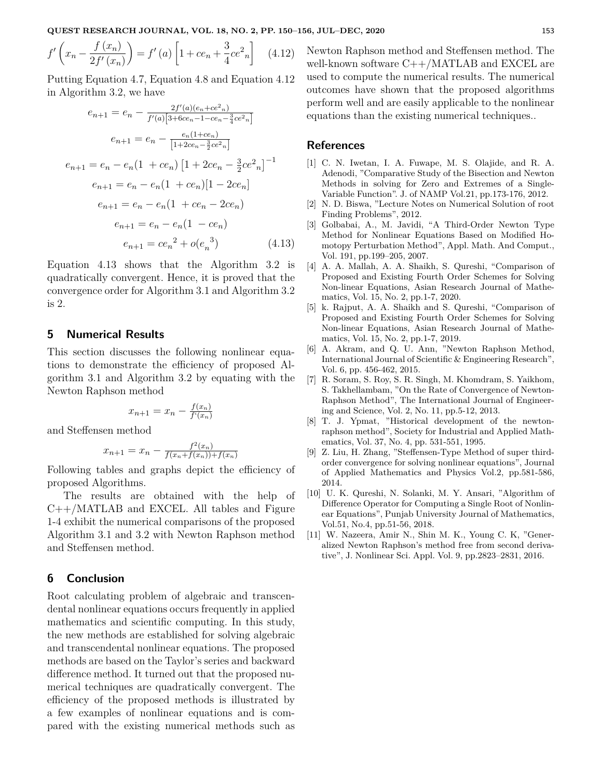$$
f'\left(x_n - \frac{f(x_n)}{2f'(x_n)}\right) = f'(a)\left[1 + ce_n + \frac{3}{4}ce^2_n\right] \quad (4.12)
$$

Putting Equation 4.7, Equation 4.8 and Equation 4.12 in Algorithm 3.2, we have

$$
e_{n+1} = e_n - \frac{2f'(a)(e_n + ce^2 n)}{f'(a)[3 + 6ce_n - 1 - ce_n - \frac{3}{4}ce^2 n]}
$$

$$
e_{n+1} = e_n - \frac{e_n(1 + ce_n)}{[1 + 2ce_n - \frac{3}{2}ce^2 n]}
$$

$$
e_{n+1} = e_n - e_n(1 + ce_n)[1 + 2ce_n - \frac{3}{2}ce^2_n]^{-1}
$$

$$
e_{n+1} = e_n - e_n(1 + ce_n)[1 - 2ce_n]
$$

$$
e_{n+1} = e_n - e_n(1 + ce_n - 2ce_n)
$$

$$
e_{n+1} = e_n - e_n(1 - ce_n)
$$

$$
e_{n+1} = ce_n^2 + o(e_n^3) \qquad (4.13)
$$

Equation 4.13 shows that the Algorithm 3.2 is quadratically convergent. Hence, it is proved that the convergence order for Algorithm 3.1 and Algorithm 3.2 is 2.

## **5 Numerical Results**

This section discusses the following nonlinear equations to demonstrate the efficiency of proposed Algorithm 3.1 and Algorithm 3.2 by equating with the Newton Raphson method

$$
x_{n+1} = x_n - \frac{f(x_n)}{f'(x_n)}
$$

and Steffensen method

$$
x_{n+1} = x_n - \frac{f^2(x_n)}{f(x_n + f(x_n)) + f(x_n)}
$$

Following tables and graphs depict the efficiency of proposed Algorithms.

The results are obtained with the help of C++/MATLAB and EXCEL. All tables and Figure 1-4 exhibit the numerical comparisons of the proposed Algorithm 3.1 and 3.2 with Newton Raphson method and Steffensen method.

## **6 Conclusion**

Root calculating problem of algebraic and transcendental nonlinear equations occurs frequently in applied mathematics and scientific computing. In this study, the new methods are established for solving algebraic and transcendental nonlinear equations. The proposed methods are based on the Taylor's series and backward difference method. It turned out that the proposed numerical techniques are quadratically convergent. The efficiency of the proposed methods is illustrated by a few examples of nonlinear equations and is compared with the existing numerical methods such as Newton Raphson method and Steffensen method. The well-known software C++/MATLAB and EXCEL are used to compute the numerical results. The numerical outcomes have shown that the proposed algorithms perform well and are easily applicable to the nonlinear equations than the existing numerical techniques..

#### **References**

- [1] C. N. Iwetan, I. A. Fuwape, M. S. Olajide, and R. A. Adenodi, "Comparative Study of the Bisection and Newton Methods in solving for Zero and Extremes of a Single-Variable Function". J. of NAMP Vol.21, pp.173-176, 2012.
- [2] N. D. Biswa, "Lecture Notes on Numerical Solution of root Finding Problems", 2012.
- [3] Golbabai, A., M. Javidi, "A Third-Order Newton Type Method for Nonlinear Equations Based on Modified Homotopy Perturbation Method", Appl. Math. And Comput., Vol. 191, pp.199–205, 2007.
- [4] A. A. Mallah, A. A. Shaikh, S. Qureshi, "Comparison of Proposed and Existing Fourth Order Schemes for Solving Non-linear Equations, Asian Research Journal of Mathematics, Vol. 15, No. 2, pp.1-7, 2020.
- [5] k. Rajput, A. A. Shaikh and S. Qureshi, "Comparison of Proposed and Existing Fourth Order Schemes for Solving Non-linear Equations, Asian Research Journal of Mathematics, Vol. 15, No. 2, pp.1-7, 2019.
- [6] A. Akram, and Q. U. Ann, "Newton Raphson Method, International Journal of Scientific & Engineering Research", Vol. 6, pp. 456-462, 2015.
- [7] R. Soram, S. Roy, S. R. Singh, M. Khomdram, S. Yaikhom, S. Takhellambam, "On the Rate of Convergence of Newton-Raphson Method", The International Journal of Engineering and Science, Vol. 2, No. 11, pp.5-12, 2013.
- [8] T. J. Ypmat, "Historical development of the newtonraphson method", Society for Industrial and Applied Mathematics, Vol. 37, No. 4, pp. 531-551, 1995.
- [9] Z. Liu, H. Zhang, "Steffensen-Type Method of super thirdorder convergence for solving nonlinear equations", Journal of Applied Mathematics and Physics Vol.2, pp.581-586, 2014.
- [10] U. K. Qureshi, N. Solanki, M. Y. Ansari, "Algorithm of Difference Operator for Computing a Single Root of Nonlinear Equations", Punjab University Journal of Mathematics, Vol.51, No.4, pp.51-56, 2018.
- [11] W. Nazeera, Amir N., Shin M. K., Young C. K, "Generalized Newton Raphson's method free from second derivative", J. Nonlinear Sci. Appl. Vol. 9, pp.2823–2831, 2016.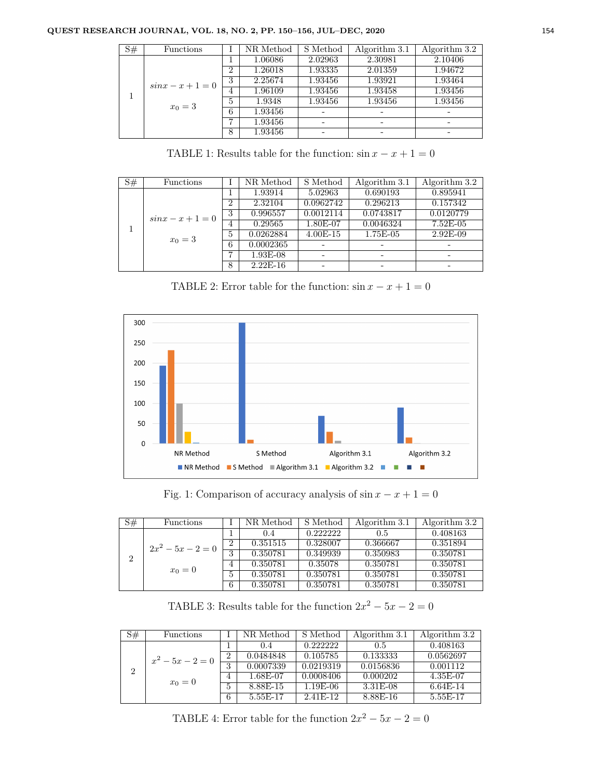#### **QUEST RESEARCH JOURNAL, VOL. 18, NO. 2, PP. 150–156, JUL–DEC, 2020** 154

| $\overline{S#}$ | Functions            |                | NR Method | S Method | Algorithm 3.1 | Algorithm 3.2 |
|-----------------|----------------------|----------------|-----------|----------|---------------|---------------|
|                 |                      |                | 1.06086   | 2.02963  | 2.30981       | 2.10406       |
|                 |                      | $\overline{2}$ | 1.26018   | 1.93335  | 2.01359       | 1.94672       |
|                 | $\sin x - x + 1 = 0$ | 3              | 2.25674   | 1.93456  | 1.93921       | 1.93464       |
|                 |                      | 4              | 1.96109   | 1.93456  | 1.93458       | 1.93456       |
|                 | $x_0 = 3$            | $\overline{5}$ | 1.9348    | 1.93456  | 1.93456       | 1.93456       |
|                 |                      | 6              | 1.93456   |          |               |               |
|                 |                      | 7              | 1.93456   |          |               |               |
|                 |                      | 8              | 1.93456   |          |               |               |

TABLE 1: Results table for the function:  $\sin x - x + 1 = 0$ 

| $\overline{S#}$ | Functions                         |                | NR Method  | S Method   | Algorithm 3.1 | Algorithm 3.2 |
|-----------------|-----------------------------------|----------------|------------|------------|---------------|---------------|
|                 |                                   |                | 1.93914    | 5.02963    | 0.690193      | 0.895941      |
|                 |                                   | $\overline{2}$ | 2.32104    | 0.0962742  | 0.296213      | 0.157342      |
|                 | $\sin x - x + 1 = 0$<br>$x_0 = 3$ | 3              | 0.996557   | 0.0012114  | 0.0743817     | 0.0120779     |
|                 |                                   | 4              | 0.29565    | 1.80E-07   | 0.0046324     | $7.52E-05$    |
|                 |                                   | $\mathbf{5}$   | 0.0262884  | $4.00E-15$ | 1.75E-05      | $2.92E-09$    |
|                 |                                   | 6              | 0.0002365  |            |               |               |
|                 |                                   |                | $1.93E-08$ |            |               |               |
|                 |                                   | 8              | $2.22E-16$ |            |               |               |

TABLE 2: Error table for the function:  $\sin x - x + 1 = 0$ 



Fig. 1: Comparison of accuracy analysis of  $\sin x - x + 1 = 0$ 

| S# | Functions           |         | NR Method | S Method | Algorithm 3.1 | Algorithm 3.2 |
|----|---------------------|---------|-----------|----------|---------------|---------------|
|    |                     |         | 0.4       | 0.222222 | 0.5           | 0.408163      |
|    | $2x^2 - 5x - 2 = 0$ | ച       | 0.351515  | 0.328007 | 0.366667      | 0.351894      |
|    | $x_0=0$             | 2<br>., | 0.350781  | 0.349939 | 0.350983      | 0.350781      |
|    |                     |         | 0.350781  | 0.35078  | 0.350781      | 0.350781      |
|    |                     | b.      | 0.350781  | 0.350781 | 0.350781      | 0.350781      |
|    |                     | 6       | 0.350781  | 0.350781 | 0.350781      | 0.350781      |

TABLE 3: Results table for the function  $2x^2 - 5x - 2 = 0$ 

| S# | Functions                 |                | NR Method | S Method   | Algorithm 3.1 | Algorithm 3.2 |
|----|---------------------------|----------------|-----------|------------|---------------|---------------|
|    |                           |                | 0.4       | 0.222222   | 0.5           | 0.408163      |
|    | $x^2-5x-2=0$<br>$x_0 = 0$ | $\overline{2}$ | 0.0484848 | 0.105785   | 0.133333      | 0.0562697     |
| 2  |                           | 3              | 0.0007339 | 0.0219319  | 0.0156836     | 0.001112      |
|    |                           | 4              | 1.68E-07  | 0.0008406  | 0.000202      | 4.35E-07      |
|    |                           | 5              | 8.88E-15  | $1.19E-06$ | $3.31E-08$    | $6.64E-14$    |
|    |                           | 6              | 5.55E-17  | 2.41F-12   | 8.88E-16      | 5.55E-17      |

TABLE 4: Error table for the function  $2x^2 - 5x - 2 = 0$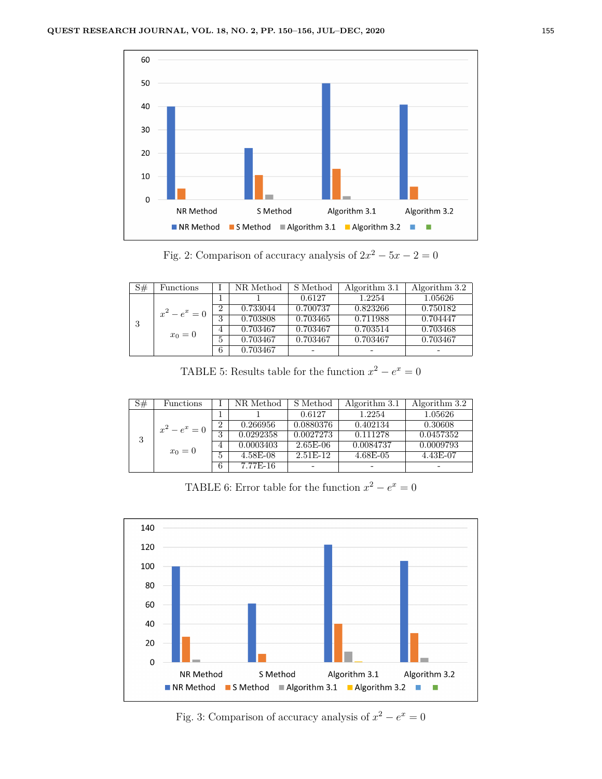

Fig. 2: Comparison of accuracy analysis of  $2x^2 - 5x - 2 = 0$ 

| S# | Functions       |                | NR Method | S Method | Algorithm 3.1 | Algorithm 3.2 |
|----|-----------------|----------------|-----------|----------|---------------|---------------|
|    |                 |                |           | 0.6127   | 1.2254        | 1.05626       |
|    | $x^2 - e^x = 0$ | $\overline{2}$ | 0.733044  | 0.700737 | 0.823266      | 0.750182      |
| 3  |                 | 3              | 0.703808  | 0.703465 | 0.711988      | 0.704447      |
|    | $x_0 = 0$       | $\overline{4}$ | 0.703467  | 0.703467 | 0.703514      | 0.703468      |
|    |                 | 5              | 0.703467  | 0.703467 | 0.703467      | 0.703467      |
|    |                 | 6              | 0.703467  | -        |               | -             |

TABLE 5: Results table for the function  $x^2 - e^x = 0$ 

| S# | Functions       |                | NR Method  | S Method   | Algorithm 3.1 | Algorithm 3.2 |
|----|-----------------|----------------|------------|------------|---------------|---------------|
|    |                 |                |            | 0.6127     | 1.2254        | 1.05626       |
|    | $x^2 - e^x = 0$ | $\overline{2}$ | 0.266956   | 0.0880376  | 0.402134      | 0.30608       |
| 3  | $x_0=0$         | 3              | 0.0292358  | 0.0027273  | 0.111278      | 0.0457352     |
|    |                 | 4              | 0.0003403  | $2.65E-06$ | 0.0084737     | 0.0009793     |
|    |                 | 5              | $4.58E-08$ | $2.51E-12$ | $4.68E-05$    | 4.43E-07      |
|    |                 | 6              | 7.77E-16   | -          | -             | -             |

TABLE 6: Error table for the function  $x^2 - e^x = 0$ 



Fig. 3: Comparison of accuracy analysis of  $x^2 - e^x = 0$